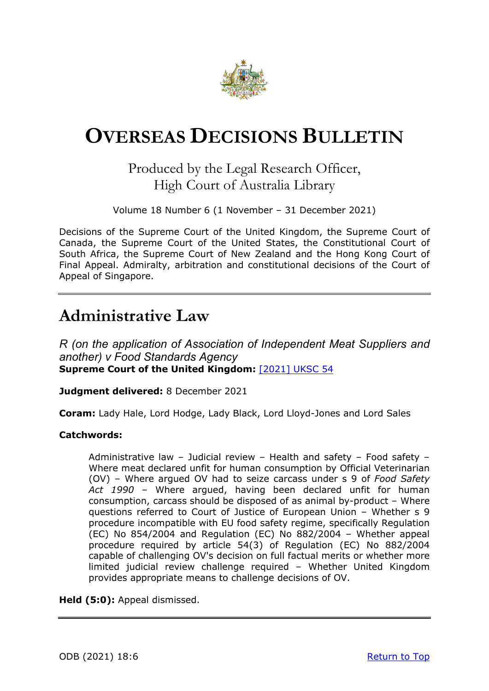

# <span id="page-0-0"></span>**OVERSEAS DECISIONS BULLETIN**

### Produced by the Legal Research Officer, High Court of Australia Library

Volume 18 Number 6 (1 November – 31 December 2021)

Decisions of the Supreme Court of the United Kingdom, the Supreme Court of Canada, the Supreme Court of the United States, the Constitutional Court of South Africa, the Supreme Court of New Zealand and the Hong Kong Court of Final Appeal. Admiralty, arbitration and constitutional decisions of the Court of Appeal of Singapore.

## **Administrative Law**

*R (on the application of Association of Independent Meat Suppliers and another) v Food Standards Agency* **Supreme Court of the United Kingdom:** [\[2021\] UKSC 54](https://www.supremecourt.uk/cases/docs/uksc-2017-0126-judgment.pdf)

**Judgment delivered:** 8 December 2021

**Coram:** Lady Hale, Lord Hodge, Lady Black, Lord Lloyd-Jones and Lord Sales

#### **Catchwords:**

Administrative law – Judicial review – Health and safety – Food safety – Where meat declared unfit for human consumption by Official Veterinarian (OV) – Where argued OV had to seize carcass under s 9 of *Food Safety Act 1990* – Where argued, having been declared unfit for human consumption, carcass should be disposed of as animal by-product – Where questions referred to Court of Justice of European Union – Whether s 9 procedure incompatible with EU food safety regime, specifically Regulation (EC) No 854/2004 and Regulation (EC) No 882/2004 – Whether appeal procedure required by article 54(3) of Regulation (EC) No 882/2004 capable of challenging OV's decision on full factual merits or whether more limited judicial review challenge required – Whether United Kingdom provides appropriate means to challenge decisions of OV.

**Held (5:0):** Appeal dismissed.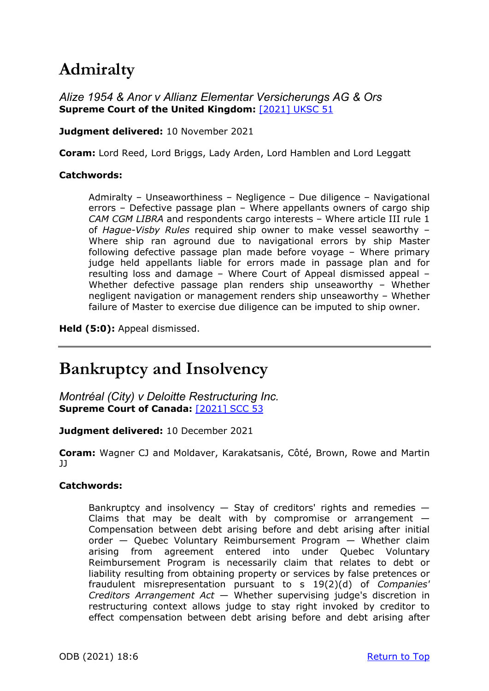## **Admiralty**

*Alize 1954 & Anor v Allianz Elementar Versicherungs AG & Ors* **Supreme Court of the United Kingdom:** [\[2021\] UKSC 51](https://www.supremecourt.uk/cases/docs/uksc-2020-0071-judgment.pdf)

**Judgment delivered:** 10 November 2021

**Coram:** Lord Reed, Lord Briggs, Lady Arden, Lord Hamblen and Lord Leggatt

### **Catchwords:**

Admiralty – Unseaworthiness – Negligence – Due diligence – Navigational errors – Defective passage plan – Where appellants owners of cargo ship *CAM CGM LIBRA* and respondents cargo interests – Where article III rule 1 of *Hague-Visby Rules* required ship owner to make vessel seaworthy – Where ship ran aground due to navigational errors by ship Master following defective passage plan made before voyage – Where primary judge held appellants liable for errors made in passage plan and for resulting loss and damage – Where Court of Appeal dismissed appeal – Whether defective passage plan renders ship unseaworthy – Whether negligent navigation or management renders ship unseaworthy – Whether failure of Master to exercise due diligence can be imputed to ship owner.

**Held (5:0):** Appeal dismissed.

## **Bankruptcy and Insolvency**

*Montréal (City) v Deloitte Restructuring Inc.* **Supreme Court of Canada:**[\[2021\] SCC 53](https://decisions.scc-csc.ca/scc-csc/scc-csc/en/item/19108/index.do)

**Judgment delivered:** 10 December 2021

**Coram:** Wagner CJ and Moldaver, Karakatsanis, Côté, Brown, Rowe and Martin JJ

### **Catchwords:**

Bankruptcy and insolvency  $-$  Stay of creditors' rights and remedies  $-$ Claims that may be dealt with by compromise or arrangement  $-$ Compensation between debt arising before and debt arising after initial order — Quebec Voluntary Reimbursement Program — Whether claim arising from agreement entered into under Quebec Voluntary Reimbursement Program is necessarily claim that relates to debt or liability resulting from obtaining property or services by false pretences or fraudulent misrepresentation pursuant to s 19(2)(d) of *Companies' Creditors Arrangement Act* — Whether supervising judge's discretion in restructuring context allows judge to stay right invoked by creditor to effect compensation between debt arising before and debt arising after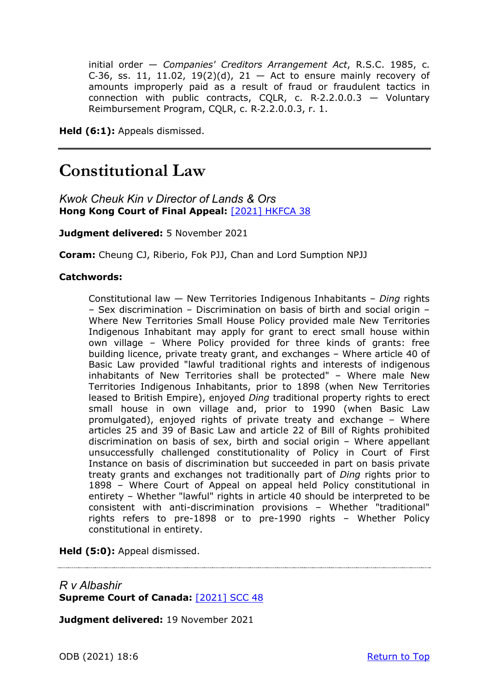initial order — *Companies' Creditors Arrangement Act*, R.S.C. 1985, c. C-36, ss. 11, 11.02, 19(2)(d), 21 - Act to ensure mainly recovery of amounts improperly paid as a result of fraud or fraudulent tactics in connection with public contracts, CQLR, c. R-2.2.0.0.3  $-$  Voluntary Reimbursement Program, CQLR, c. R‑2.2.0.0.3, r. 1.

**Held (6:1):** Appeals dismissed.

## **Constitutional Law**

*Kwok Cheuk Kin v Director of Lands & Ors* **Hong Kong Court of Final Appeal:**[\[2021\] HKFCA 38](https://www.hklii.hk/eng/hk/cases/hkcfa/2021/38.html)

**Judgment delivered:** 5 November 2021

**Coram:** Cheung CJ, Riberio, Fok PJJ, Chan and Lord Sumption NPJJ

#### **Catchwords:**

Constitutional law — New Territories Indigenous Inhabitants – *Ding* rights – Sex discrimination – Discrimination on basis of birth and social origin – Where New Territories Small House Policy provided male New Territories Indigenous Inhabitant may apply for grant to erect small house within own village – Where Policy provided for three kinds of grants: free building licence, private treaty grant, and exchanges – Where article 40 of Basic Law provided "lawful traditional rights and interests of indigenous inhabitants of New Territories shall be protected" – Where male New Territories Indigenous Inhabitants, prior to 1898 (when New Territories leased to British Empire), enjoyed *Ding* traditional property rights to erect small house in own village and, prior to 1990 (when Basic Law promulgated), enjoyed rights of private treaty and exchange – Where articles 25 and 39 of Basic Law and article 22 of Bill of Rights prohibited discrimination on basis of sex, birth and social origin – Where appellant unsuccessfully challenged constitutionality of Policy in Court of First Instance on basis of discrimination but succeeded in part on basis private treaty grants and exchanges not traditionally part of *Ding* rights prior to 1898 – Where Court of Appeal on appeal held Policy constitutional in entirety – Whether "lawful" rights in article 40 should be interpreted to be consistent with anti-discrimination provisions – Whether "traditional" rights refers to pre-1898 or to pre-1990 rights – Whether Policy constitutional in entirety.

**Held (5:0):** Appeal dismissed.

### *R v Albashir* **Supreme Court of Canada:**[\[2021\] SCC 48](https://scc-csc.lexum.com/scc-csc/scc-csc/en/item/19083/index.do)

**Judgment delivered:** 19 November 2021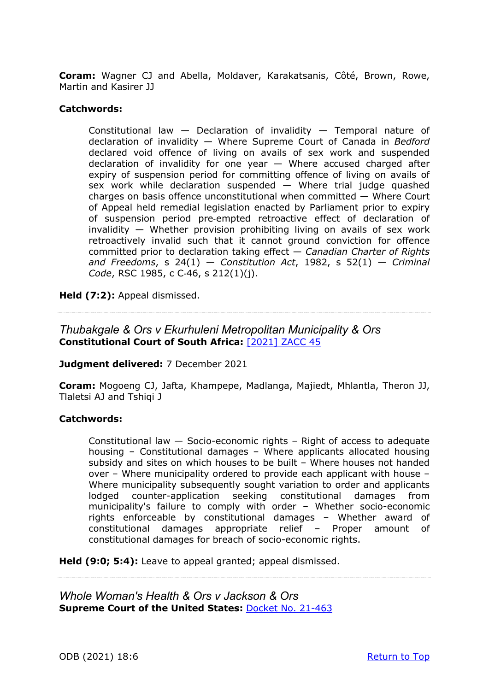**Coram:** Wagner CJ and Abella, Moldaver, Karakatsanis, Côté, Brown, Rowe, Martin and Kasirer JJ

#### **Catchwords:**

Constitutional law — Declaration of invalidity — Temporal nature of declaration of invalidity — Where Supreme Court of Canada in *Bedford*  declared void offence of living on avails of sex work and suspended declaration of invalidity for one year  $-$  Where accused charged after expiry of suspension period for committing offence of living on avails of sex work while declaration suspended — Where trial judge quashed charges on basis offence unconstitutional when committed — Where Court of Appeal held remedial legislation enacted by Parliament prior to expiry of suspension period pre‑empted retroactive effect of declaration of invalidity — Whether provision prohibiting living on avails of sex work retroactively invalid such that it cannot ground conviction for offence committed prior to declaration taking effect — *Canadian Charter of Rights and Freedoms*, s 24(1) — *Constitution Act*, 1982, s 52(1) — *Criminal Code*, RSC 1985, c C‑46, s 212(1)(j).

**Held (7:2):** Appeal dismissed.

### *Thubakgale & Ors v Ekurhuleni Metropolitan Municipality & Ors* **Constitutional Court of South Africa:** [\[2021\] ZACC 45](https://www.saflii.org/za/cases/ZACC/2021/45.html)

**Judgment delivered:** 7 December 2021

**Coram:** Mogoeng CJ, Jafta, Khampepe, Madlanga, Majiedt, Mhlantla, Theron JJ, Tlaletsi AJ and Tshiqi J

#### **Catchwords:**

Constitutional law — Socio-economic rights – Right of access to adequate housing – Constitutional damages – Where applicants allocated housing subsidy and sites on which houses to be built – Where houses not handed over – Where municipality ordered to provide each applicant with house – Where municipality subsequently sought variation to order and applicants lodged counter-application seeking constitutional damages from municipality's failure to comply with order – Whether socio-economic rights enforceable by constitutional damages – Whether award of constitutional damages appropriate relief – Proper amount of constitutional damages for breach of socio-economic rights.

**Held (9:0; 5:4):** Leave to appeal granted; appeal dismissed.

*Whole Woman's Health & Ors v Jackson & Ors* **Supreme Court of the United States:** [Docket No. 21-463](https://www.supremecourt.gov/opinions/21pdf/21-463_new_8o6b.pdf)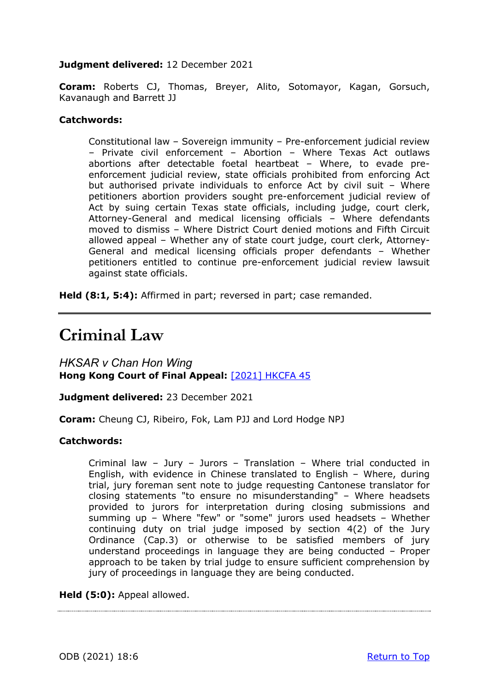#### **Judgment delivered:** 12 December 2021

**Coram:** Roberts CJ, Thomas, Breyer, Alito, Sotomayor, Kagan, Gorsuch, Kavanaugh and Barrett JJ

#### **Catchwords:**

Constitutional law – Sovereign immunity – Pre-enforcement judicial review – Private civil enforcement – Abortion – Where Texas Act outlaws abortions after detectable foetal heartbeat – Where, to evade preenforcement judicial review, state officials prohibited from enforcing Act but authorised private individuals to enforce Act by civil suit – Where petitioners abortion providers sought pre-enforcement judicial review of Act by suing certain Texas state officials, including judge, court clerk, Attorney-General and medical licensing officials – Where defendants moved to dismiss – Where District Court denied motions and Fifth Circuit allowed appeal – Whether any of state court judge, court clerk, Attorney-General and medical licensing officials proper defendants – Whether petitioners entitled to continue pre-enforcement judicial review lawsuit against state officials.

**Held (8:1, 5:4):** Affirmed in part; reversed in part; case remanded.

## **Criminal Law**

*HKSAR v Chan Hon Wing*  **Hong Kong Court of Final Appeal:** [\[2021\] HKCFA 45](https://www.hklii.hk/eng/hk/cases/hkcfa/2021/45.html)

**Judgment delivered:** 23 December 2021

**Coram:** Cheung CJ, Ribeiro, Fok, Lam PJJ and Lord Hodge NPJ

#### **Catchwords:**

Criminal law – Jury – Jurors – Translation – Where trial conducted in English, with evidence in Chinese translated to English – Where, during trial, jury foreman sent note to judge requesting Cantonese translator for closing statements "to ensure no misunderstanding" – Where headsets provided to jurors for interpretation during closing submissions and summing up – Where "few" or "some" jurors used headsets – Whether continuing duty on trial judge imposed by section 4(2) of the Jury Ordinance (Cap.3) or otherwise to be satisfied members of jury understand proceedings in language they are being conducted – Proper approach to be taken by trial judge to ensure sufficient comprehension by jury of proceedings in language they are being conducted.

**Held (5:0):** Appeal allowed.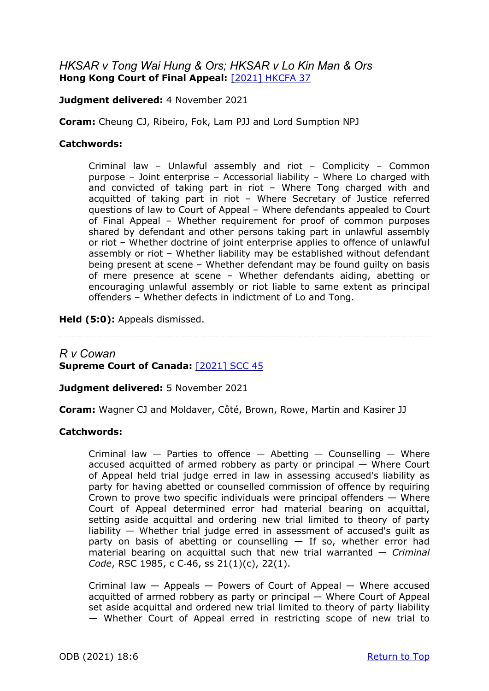### *HKSAR v Tong Wai Hung & Ors; HKSAR v Lo Kin Man & Ors* **Hong Kong Court of Final Appeal:**[\[2021\] HKCFA 37](https://www.hklii.hk/eng/hk/cases/hkcfa/2021/37.html)

**Judgment delivered:** 4 November 2021

**Coram:** Cheung CJ, Ribeiro, Fok, Lam PJJ and Lord Sumption NPJ

#### **Catchwords:**

Criminal law – Unlawful assembly and riot – Complicity – Common purpose – Joint enterprise – Accessorial liability – Where Lo charged with and convicted of taking part in riot – Where Tong charged with and acquitted of taking part in riot – Where Secretary of Justice referred questions of law to Court of Appeal – Where defendants appealed to Court of Final Appeal – Whether requirement for proof of common purposes shared by defendant and other persons taking part in unlawful assembly or riot – Whether doctrine of joint enterprise applies to offence of unlawful assembly or riot – Whether liability may be established without defendant being present at scene – Whether defendant may be found guilty on basis of mere presence at scene – Whether defendants aiding, abetting or encouraging unlawful assembly or riot liable to same extent as principal offenders – Whether defects in indictment of Lo and Tong.

**Held (5:0):** Appeals dismissed.

### *R v Cowan* **Supreme Court of Canada:**[\[2021\] SCC 45](https://scc-csc.lexum.com/scc-csc/scc-csc/en/item/19066/index.do)

**Judgment delivered:** 5 November 2021

**Coram:** Wagner CJ and Moldaver, Côté, Brown, Rowe, Martin and Kasirer JJ

#### **Catchwords:**

Criminal law  $-$  Parties to offence  $-$  Abetting  $-$  Counselling  $-$  Where accused acquitted of armed robbery as party or principal — Where Court of Appeal held trial judge erred in law in assessing accused's liability as party for having abetted or counselled commission of offence by requiring Crown to prove two specific individuals were principal offenders  $-$  Where Court of Appeal determined error had material bearing on acquittal, setting aside acquittal and ordering new trial limited to theory of party liability — Whether trial judge erred in assessment of accused's guilt as party on basis of abetting or counselling  $-$  If so, whether error had material bearing on acquittal such that new trial warranted — *Criminal Code*, RSC 1985, c C‑46, ss 21(1)(c), 22(1).

Criminal law — Appeals — Powers of Court of Appeal — Where accused acquitted of armed robbery as party or principal — Where Court of Appeal set aside acquittal and ordered new trial limited to theory of party liability — Whether Court of Appeal erred in restricting scope of new trial to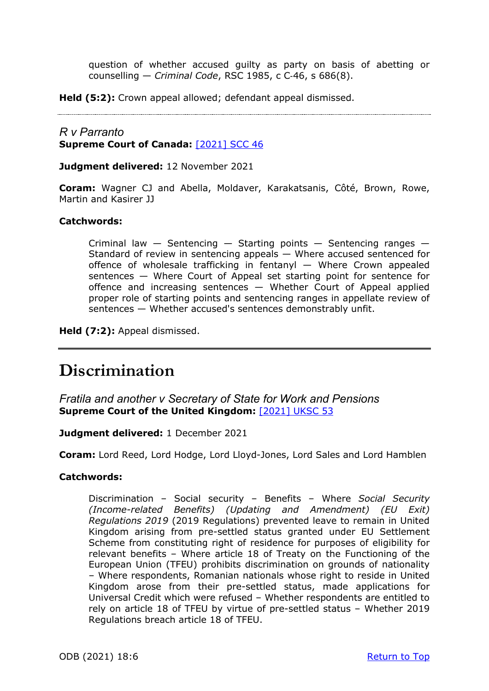question of whether accused guilty as party on basis of abetting or counselling — *Criminal Code*, RSC 1985, c C‑46, s 686(8).

**Held (5:2):** Crown appeal allowed; defendant appeal dismissed.

### *R v Parranto* **Supreme Court of Canada:** [\[2021\] SCC 46](https://scc-csc.lexum.com/scc-csc/scc-csc/en/item/19074/index.do)

**Judgment delivered:** 12 November 2021

**Coram:** Wagner CJ and Abella, Moldaver, Karakatsanis, Côté, Brown, Rowe, Martin and Kasirer JJ

#### **Catchwords:**

Criminal law  $-$  Sentencing  $-$  Starting points  $-$  Sentencing ranges  $-$ Standard of review in sentencing appeals — Where accused sentenced for offence of wholesale trafficking in fentanyl — Where Crown appealed sentences — Where Court of Appeal set starting point for sentence for offence and increasing sentences — Whether Court of Appeal applied proper role of starting points and sentencing ranges in appellate review of sentences — Whether accused's sentences demonstrably unfit.

**Held (7:2):** Appeal dismissed.

## **Discrimination**

*Fratila and another v Secretary of State for Work and Pensions*  **Supreme Court of the United Kingdom:** [\[2021\] UKSC 53](https://www.supremecourt.uk/cases/docs/uksc-2021-0008-judgment.pdf)

**Judgment delivered:** 1 December 2021

**Coram:** Lord Reed, Lord Hodge, Lord Lloyd-Jones, Lord Sales and Lord Hamblen

#### **Catchwords:**

Discrimination – Social security – Benefits – Where *Social Security (Income-related Benefits) (Updating and Amendment) (EU Exit) Regulations 2019* (2019 Regulations) prevented leave to remain in United Kingdom arising from pre-settled status granted under EU Settlement Scheme from constituting right of residence for purposes of eligibility for relevant benefits – Where article 18 of Treaty on the Functioning of the European Union (TFEU) prohibits discrimination on grounds of nationality – Where respondents, Romanian nationals whose right to reside in United Kingdom arose from their pre-settled status, made applications for Universal Credit which were refused – Whether respondents are entitled to rely on article 18 of TFEU by virtue of pre-settled status – Whether 2019 Regulations breach article 18 of TFEU.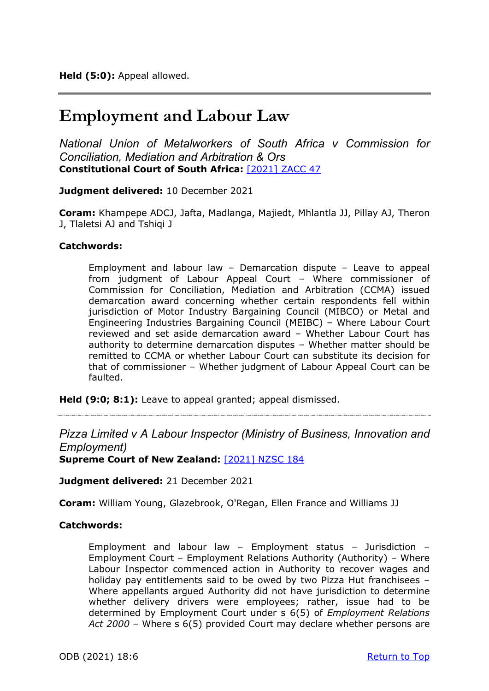## **Employment and Labour Law**

*National Union of Metalworkers of South Africa v Commission for Conciliation, Mediation and Arbitration & Ors* **Constitutional Court of South Africa:** [\[2021\] ZACC 47](https://www.saflii.org/za/cases/ZACC/2021/47.html)

**Judgment delivered:** 10 December 2021

**Coram:** Khampepe ADCJ, Jafta, Madlanga, Majiedt, Mhlantla JJ, Pillay AJ, Theron J, Tlaletsi AJ and Tshiqi J

#### **Catchwords:**

Employment and labour law – Demarcation dispute – Leave to appeal from judgment of Labour Appeal Court – Where commissioner of Commission for Conciliation, Mediation and Arbitration (CCMA) issued demarcation award concerning whether certain respondents fell within jurisdiction of Motor Industry Bargaining Council (MIBCO) or Metal and Engineering Industries Bargaining Council (MEIBC) – Where Labour Court reviewed and set aside demarcation award – Whether Labour Court has authority to determine demarcation disputes – Whether matter should be remitted to CCMA or whether Labour Court can substitute its decision for that of commissioner – Whether judgment of Labour Appeal Court can be faulted.

**Held (9:0; 8:1):** Leave to appeal granted; appeal dismissed.

*Pizza Limited v A Labour Inspector (Ministry of Business, Innovation and Employment)*

**Supreme Court of New Zealand:** [\[2021\] NZSC 184](https://www.courtsofnz.govt.nz/assets/cases/2021/2021-NZSC-184.pdf)

**Judgment delivered:** 21 December 2021

**Coram:** William Young, Glazebrook, O'Regan, Ellen France and Williams JJ

#### **Catchwords:**

Employment and labour law – Employment status – Jurisdiction – Employment Court – Employment Relations Authority (Authority) – Where Labour Inspector commenced action in Authority to recover wages and holiday pay entitlements said to be owed by two Pizza Hut franchisees – Where appellants argued Authority did not have jurisdiction to determine whether delivery drivers were employees; rather, issue had to be determined by Employment Court under s 6(5) of *Employment Relations Act 2000* – Where s 6(5) provided Court may declare whether persons are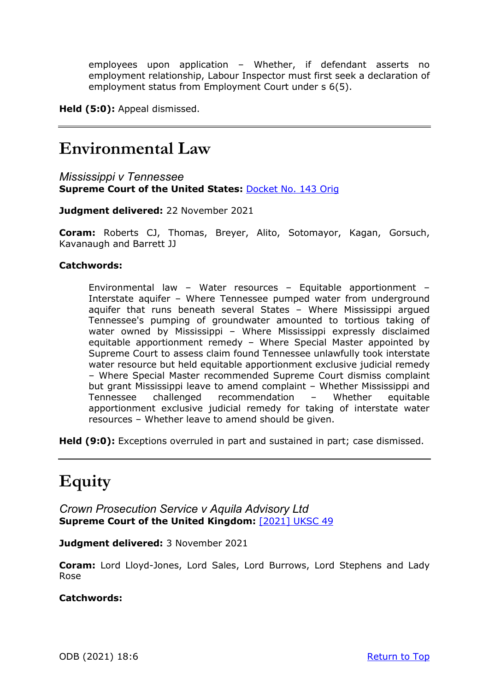employees upon application – Whether, if defendant asserts no employment relationship, Labour Inspector must first seek a declaration of employment status from Employment Court under s 6(5).

**Held (5:0):** Appeal dismissed.

## **Environmental Law**

*Mississippi v Tennessee*  **Supreme Court of the United States:** [Docket No. 143 Orig](https://www.supremecourt.gov/opinions/21pdf/143orig_1qm1.pdf)

**Judgment delivered:** 22 November 2021

**Coram:** Roberts CJ, Thomas, Breyer, Alito, Sotomayor, Kagan, Gorsuch, Kavanaugh and Barrett JJ

### **Catchwords:**

Environmental law – Water resources – Equitable apportionment – Interstate aquifer – Where Tennessee pumped water from underground aquifer that runs beneath several States – Where Mississippi argued Tennessee's pumping of groundwater amounted to tortious taking of water owned by Mississippi – Where Mississippi expressly disclaimed equitable apportionment remedy – Where Special Master appointed by Supreme Court to assess claim found Tennessee unlawfully took interstate water resource but held equitable apportionment exclusive judicial remedy – Where Special Master recommended Supreme Court dismiss complaint but grant Mississippi leave to amend complaint – Whether Mississippi and Tennessee challenged recommendation – Whether equitable apportionment exclusive judicial remedy for taking of interstate water resources – Whether leave to amend should be given.

**Held (9:0):** Exceptions overruled in part and sustained in part; case dismissed.

## **Equity**

*Crown Prosecution Service v Aquila Advisory Ltd* **Supreme Court of the United Kingdom:** [\[2021\] UKSC 49](https://www.supremecourt.uk/cases/docs/uksc-2019-0105-judgment.pdf)

**Judgment delivered:** 3 November 2021

**Coram:** Lord Lloyd-Jones, Lord Sales, Lord Burrows, Lord Stephens and Lady Rose

### **Catchwords:**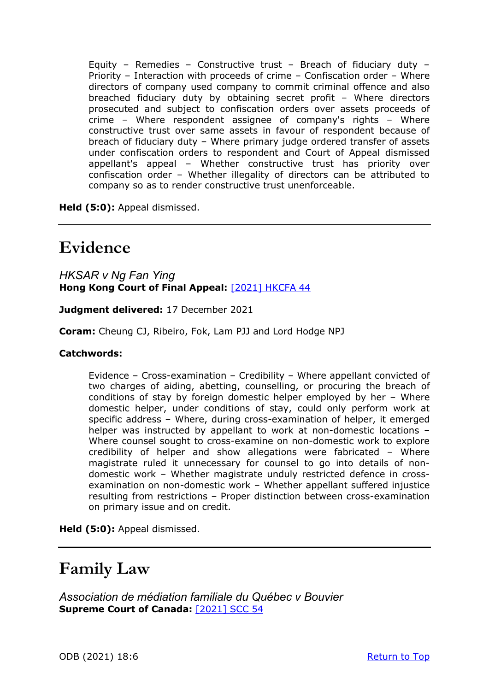Equity – Remedies – Constructive trust – Breach of fiduciary duty – Priority – Interaction with proceeds of crime – Confiscation order – Where directors of company used company to commit criminal offence and also breached fiduciary duty by obtaining secret profit – Where directors prosecuted and subject to confiscation orders over assets proceeds of crime – Where respondent assignee of company's rights – Where constructive trust over same assets in favour of respondent because of breach of fiduciary duty – Where primary judge ordered transfer of assets under confiscation orders to respondent and Court of Appeal dismissed appellant's appeal – Whether constructive trust has priority over confiscation order – Whether illegality of directors can be attributed to company so as to render constructive trust unenforceable.

**Held (5:0):** Appeal dismissed.

## **Evidence**

*HKSAR v Ng Fan Ying*  **Hong Kong Court of Final Appeal:** [\[2021\] HKCFA 44](https://www.hklii.hk/eng/hk/cases/hkcfa/2021/44.html)

**Judgment delivered:** 17 December 2021

**Coram:** Cheung CJ, Ribeiro, Fok, Lam PJJ and Lord Hodge NPJ

#### **Catchwords:**

Evidence – Cross-examination – Credibility – Where appellant convicted of two charges of aiding, abetting, counselling, or procuring the breach of conditions of stay by foreign domestic helper employed by her – Where domestic helper, under conditions of stay, could only perform work at specific address – Where, during cross-examination of helper, it emerged helper was instructed by appellant to work at non-domestic locations – Where counsel sought to cross-examine on non-domestic work to explore credibility of helper and show allegations were fabricated – Where magistrate ruled it unnecessary for counsel to go into details of nondomestic work – Whether magistrate unduly restricted defence in crossexamination on non-domestic work – Whether appellant suffered injustice resulting from restrictions – Proper distinction between cross-examination on primary issue and on credit.

**Held (5:0):** Appeal dismissed.

## **Family Law**

*Association de médiation familiale du Québec v Bouvier* **Supreme Court of Canada:**[\[2021\] SCC 54](https://decisions.scc-csc.ca/scc-csc/scc-csc/en/item/19119/index.do)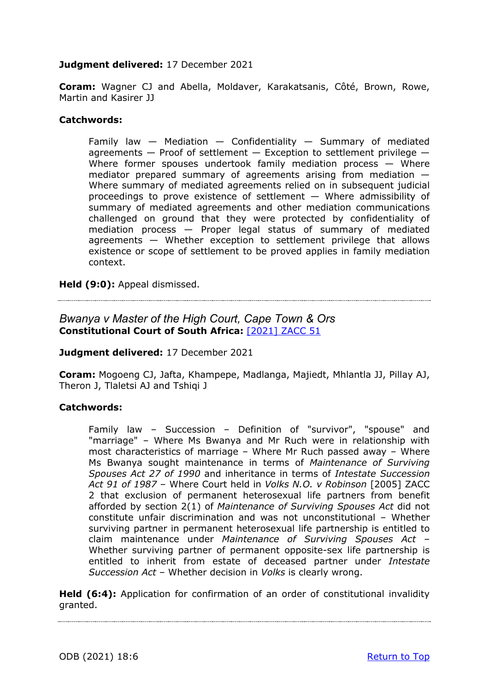### **Judgment delivered:** 17 December 2021

**Coram:** Wagner CJ and Abella, Moldaver, Karakatsanis, Côté, Brown, Rowe, Martin and Kasirer JJ

#### **Catchwords:**

Family law  $-$  Mediation  $-$  Confidentiality  $-$  Summary of mediated agreements  $-$  Proof of settlement  $-$  Exception to settlement privilege  $-$ Where former spouses undertook family mediation process - Where mediator prepared summary of agreements arising from mediation — Where summary of mediated agreements relied on in subsequent judicial proceedings to prove existence of settlement — Where admissibility of summary of mediated agreements and other mediation communications challenged on ground that they were protected by confidentiality of mediation process — Proper legal status of summary of mediated agreements — Whether exception to settlement privilege that allows existence or scope of settlement to be proved applies in family mediation context.

**Held (9:0):** Appeal dismissed.

*Bwanya v Master of the High Court, Cape Town & Ors* **Constitutional Court of South Africa:** [\[2021\] ZACC 51](https://www.saflii.org/za/cases/ZACC/2021/51.html)

#### **Judgment delivered:** 17 December 2021

**Coram:** Mogoeng CJ, Jafta, Khampepe, Madlanga, Majiedt, Mhlantla JJ, Pillay AJ, Theron J, Tlaletsi AJ and Tshiqi J

#### **Catchwords:**

Family law – Succession – Definition of "survivor", "spouse" and "marriage" – Where Ms Bwanya and Mr Ruch were in relationship with most characteristics of marriage – Where Mr Ruch passed away – Where Ms Bwanya sought maintenance in terms of *Maintenance of Surviving Spouses Act 27 of 1990* and inheritance in terms of *Intestate Succession Act 91 of 1987* – Where Court held in *Volks N.O. v Robinson* [2005] ZACC 2 that exclusion of permanent heterosexual life partners from benefit afforded by section 2(1) of *Maintenance of Surviving Spouses Act* did not constitute unfair discrimination and was not unconstitutional – Whether surviving partner in permanent heterosexual life partnership is entitled to claim maintenance under *Maintenance of Surviving Spouses Act* – Whether surviving partner of permanent opposite-sex life partnership is entitled to inherit from estate of deceased partner under *Intestate Succession Act* – Whether decision in *Volks* is clearly wrong.

Held (6:4): Application for confirmation of an order of constitutional invalidity granted.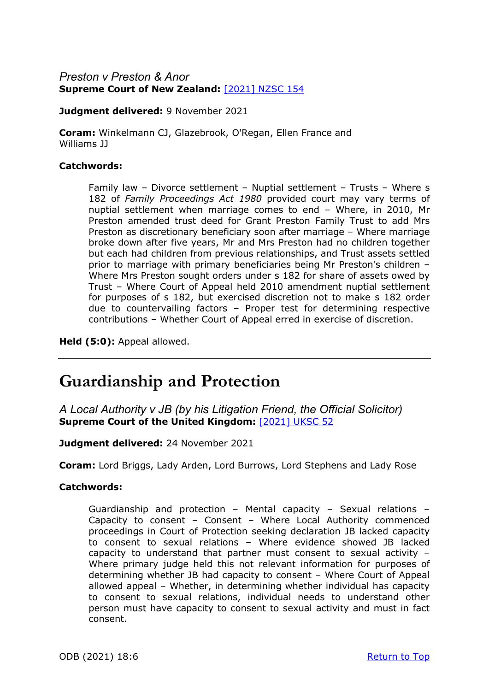### *Preston v Preston & Anor*  **Supreme Court of New Zealand:**[\[2021\] NZSC 154](https://www.courtsofnz.govt.nz/assets/cases/2021/2021-NZSC-154.pdf)

**Judgment delivered:** 9 November 2021

**Coram:** Winkelmann CJ, Glazebrook, O'Regan, Ellen France and Williams JJ

#### **Catchwords:**

Family law – Divorce settlement – Nuptial settlement – Trusts – Where s 182 of *Family Proceedings Act 1980* provided court may vary terms of nuptial settlement when marriage comes to end – Where, in 2010, Mr Preston amended trust deed for Grant Preston Family Trust to add Mrs Preston as discretionary beneficiary soon after marriage – Where marriage broke down after five years, Mr and Mrs Preston had no children together but each had children from previous relationships, and Trust assets settled prior to marriage with primary beneficiaries being Mr Preston's children – Where Mrs Preston sought orders under s 182 for share of assets owed by Trust – Where Court of Appeal held 2010 amendment nuptial settlement for purposes of s 182, but exercised discretion not to make s 182 order due to countervailing factors – Proper test for determining respective contributions – Whether Court of Appeal erred in exercise of discretion.

**Held (5:0):** Appeal allowed.

## **Guardianship and Protection**

*A Local Authority v JB (by his Litigation Friend, the Official Solicitor)* **Supreme Court of the United Kingdom:** [\[2021\] UKSC 52](https://www.supremecourt.uk/cases/docs/uksc-2020-0133-judgment.pdf)

### **Judgment delivered:** 24 November 2021

**Coram:** Lord Briggs, Lady Arden, Lord Burrows, Lord Stephens and Lady Rose

#### **Catchwords:**

Guardianship and protection – Mental capacity – Sexual relations – Capacity to consent – Consent – Where Local Authority commenced proceedings in Court of Protection seeking declaration JB lacked capacity to consent to sexual relations – Where evidence showed JB lacked capacity to understand that partner must consent to sexual activity – Where primary judge held this not relevant information for purposes of determining whether JB had capacity to consent – Where Court of Appeal allowed appeal – Whether, in determining whether individual has capacity to consent to sexual relations, individual needs to understand other person must have capacity to consent to sexual activity and must in fact consent.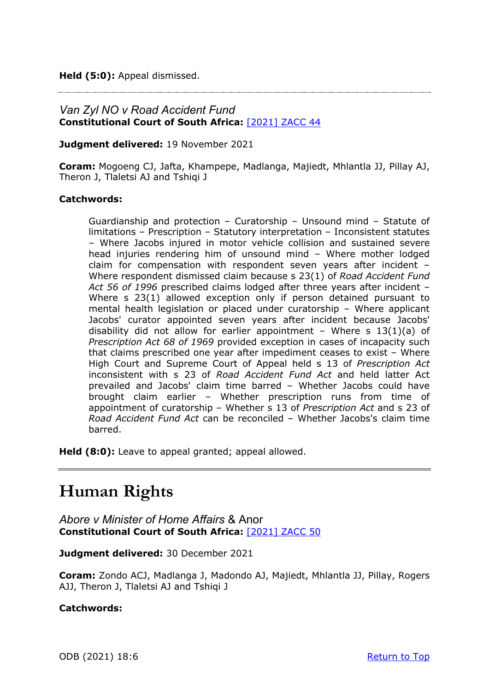**Held (5:0):** Appeal dismissed.

### *Van Zyl NO v Road Accident Fund* **Constitutional Court of South Africa:** [\[2021\] ZACC 44](http://www.saflii.org/za/cases/ZACC/2021/44.html)

**Judgment delivered:** 19 November 2021

**Coram:** Mogoeng CJ, Jafta, Khampepe, Madlanga, Majiedt, Mhlantla JJ, Pillay AJ, Theron J, Tlaletsi AJ and Tshiqi J

#### **Catchwords:**

Guardianship and protection – Curatorship – Unsound mind – Statute of limitations – Prescription – Statutory interpretation – Inconsistent statutes – Where Jacobs injured in motor vehicle collision and sustained severe head injuries rendering him of unsound mind – Where mother lodged claim for compensation with respondent seven years after incident – Where respondent dismissed claim because s 23(1) of *Road Accident Fund Act 56 of 1996* prescribed claims lodged after three years after incident – Where s 23(1) allowed exception only if person detained pursuant to mental health legislation or placed under curatorship – Where applicant Jacobs' curator appointed seven years after incident because Jacobs' disability did not allow for earlier appointment - Where s  $13(1)(a)$  of *Prescription Act 68 of 1969* provided exception in cases of incapacity such that claims prescribed one year after impediment ceases to exist – Where High Court and Supreme Court of Appeal held s 13 of *Prescription Act*  inconsistent with s 23 of *Road Accident Fund Act* and held latter Act prevailed and Jacobs' claim time barred – Whether Jacobs could have brought claim earlier – Whether prescription runs from time of appointment of curatorship – Whether s 13 of *Prescription Act* and s 23 of *Road Accident Fund Act* can be reconciled – Whether Jacobs's claim time barred.

**Held (8:0):** Leave to appeal granted; appeal allowed.

## **Human Rights**

*Abore v Minister of Home Affairs* & Anor **Constitutional Court of South Africa:** [\[2021\] ZACC 50](https://www.saflii.org/za/cases/ZACC/2021/50.html)

**Judgment delivered:** 30 December 2021

**Coram:** Zondo ACJ, Madlanga J, Madondo AJ, Majiedt, Mhlantla JJ, Pillay, Rogers AJJ, Theron J, Tlaletsi AJ and Tshiqi J

**Catchwords:**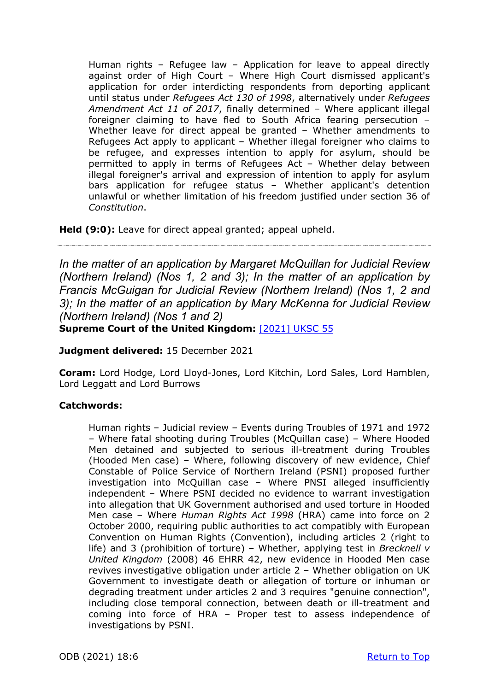Human rights – Refugee law – Application for leave to appeal directly against order of High Court – Where High Court dismissed applicant's application for order interdicting respondents from deporting applicant until status under *Refugees Act 130 of 1998*, alternatively under *Refugees Amendment Act 11 of 2017*, finally determined – Where applicant illegal foreigner claiming to have fled to South Africa fearing persecution – Whether leave for direct appeal be granted – Whether amendments to Refugees Act apply to applicant – Whether illegal foreigner who claims to be refugee, and expresses intention to apply for asylum, should be permitted to apply in terms of Refugees Act – Whether delay between illegal foreigner's arrival and expression of intention to apply for asylum bars application for refugee status – Whether applicant's detention unlawful or whether limitation of his freedom justified under section 36 of *Constitution*.

**Held (9:0):** Leave for direct appeal granted; appeal upheld.

*In the matter of an application by Margaret McQuillan for Judicial Review (Northern Ireland) (Nos 1, 2 and 3); In the matter of an application by Francis McGuigan for Judicial Review (Northern Ireland) (Nos 1, 2 and 3); In the matter of an application by Mary McKenna for Judicial Review (Northern Ireland) (Nos 1 and 2)*

**Supreme Court of the United Kingdom:** [\[2021\] UKSC 55](https://www.supremecourt.uk/cases/docs/uksc-2020-0019-judgment.pdf)

**Judgment delivered:** 15 December 2021

**Coram:** Lord Hodge, Lord Lloyd-Jones, Lord Kitchin, Lord Sales, Lord Hamblen, Lord Leggatt and Lord Burrows

### **Catchwords:**

Human rights – Judicial review – Events during Troubles of 1971 and 1972 – Where fatal shooting during Troubles (McQuillan case) – Where Hooded Men detained and subjected to serious ill-treatment during Troubles (Hooded Men case) – Where, following discovery of new evidence, Chief Constable of Police Service of Northern Ireland (PSNI) proposed further investigation into McQuillan case – Where PNSI alleged insufficiently independent – Where PSNI decided no evidence to warrant investigation into allegation that UK Government authorised and used torture in Hooded Men case – Where *Human Rights Act 1998* (HRA) came into force on 2 October 2000, requiring public authorities to act compatibly with European Convention on Human Rights (Convention), including articles 2 (right to life) and 3 (prohibition of torture) – Whether, applying test in *Brecknell v United Kingdom* (2008) 46 EHRR 42, new evidence in Hooded Men case revives investigative obligation under article 2 – Whether obligation on UK Government to investigate death or allegation of torture or inhuman or degrading treatment under articles 2 and 3 requires "genuine connection", including close temporal connection, between death or ill-treatment and coming into force of HRA – Proper test to assess independence of investigations by PSNI.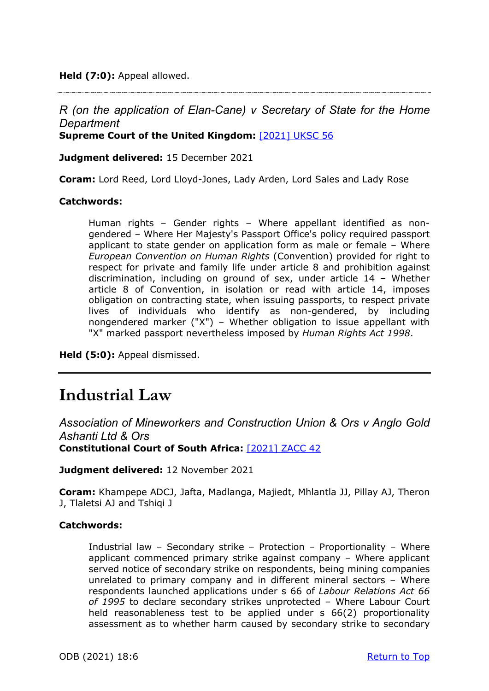**Held (7:0):** Appeal allowed.

### *R (on the application of Elan-Cane) v Secretary of State for the Home Department*

**Supreme Court of the United Kingdom:** [\[2021\] UKSC 56](https://www.supremecourt.uk/cases/docs/uksc-2020-0081-judgment.pdf)

**Judgment delivered:** 15 December 2021

**Coram:** Lord Reed, Lord Lloyd-Jones, Lady Arden, Lord Sales and Lady Rose

#### **Catchwords:**

Human rights – Gender rights – Where appellant identified as nongendered – Where Her Majesty's Passport Office's policy required passport applicant to state gender on application form as male or female – Where *European Convention on Human Rights* (Convention) provided for right to respect for private and family life under article 8 and prohibition against discrimination, including on ground of sex, under article 14 – Whether article 8 of Convention, in isolation or read with article 14, imposes obligation on contracting state, when issuing passports, to respect private lives of individuals who identify as non-gendered, by including nongendered marker ("X") – Whether obligation to issue appellant with "X" marked passport nevertheless imposed by *Human Rights Act 1998*.

**Held (5:0):** Appeal dismissed.

## **Industrial Law**

*Association of Mineworkers and Construction Union & Ors v Anglo Gold Ashanti Ltd & Ors* **Constitutional Court of South Africa:** [\[2021\] ZACC 42](http://www.saflii.org/za/cases/ZACC/2021/42.html)

**Judgment delivered:** 12 November 2021

**Coram:** Khampepe ADCJ, Jafta, Madlanga, Majiedt, Mhlantla JJ, Pillay AJ, Theron J, Tlaletsi AJ and Tshiqi J

#### **Catchwords:**

Industrial law – Secondary strike – Protection – Proportionality – Where applicant commenced primary strike against company – Where applicant served notice of secondary strike on respondents, being mining companies unrelated to primary company and in different mineral sectors – Where respondents launched applications under s 66 of *Labour Relations Act 66 of 1995* to declare secondary strikes unprotected – Where Labour Court held reasonableness test to be applied under s 66(2) proportionality assessment as to whether harm caused by secondary strike to secondary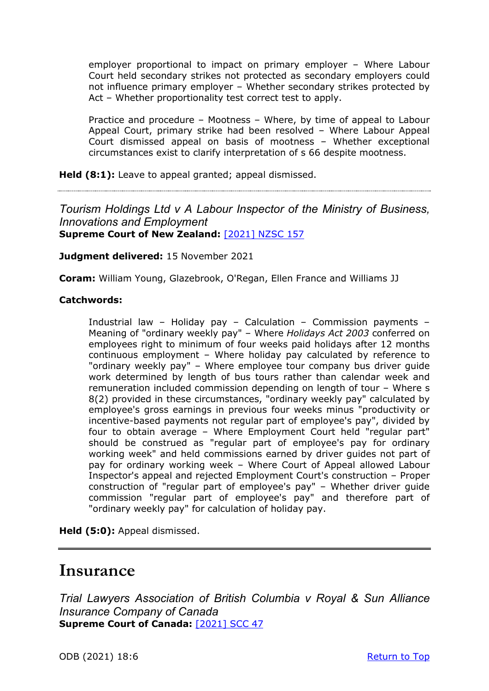employer proportional to impact on primary employer – Where Labour Court held secondary strikes not protected as secondary employers could not influence primary employer – Whether secondary strikes protected by Act – Whether proportionality test correct test to apply.

Practice and procedure – Mootness – Where, by time of appeal to Labour Appeal Court, primary strike had been resolved – Where Labour Appeal Court dismissed appeal on basis of mootness – Whether exceptional circumstances exist to clarify interpretation of s 66 despite mootness.

Held (8:1): Leave to appeal granted; appeal dismissed.

*Tourism Holdings Ltd v A Labour Inspector of the Ministry of Business, Innovations and Employment*  **Supreme Court of New Zealand:**[\[2021\] NZSC 157](https://www.courtsofnz.govt.nz/assets/cases/2021/2021-NZSC-157.pdf)

**Judgment delivered:** 15 November 2021

**Coram:** William Young, Glazebrook, O'Regan, Ellen France and Williams JJ

#### **Catchwords:**

Industrial law – Holiday pay – Calculation – Commission payments – Meaning of "ordinary weekly pay" – Where *Holidays Act 2003* conferred on employees right to minimum of four weeks paid holidays after 12 months continuous employment – Where holiday pay calculated by reference to "ordinary weekly pay" – Where employee tour company bus driver guide work determined by length of bus tours rather than calendar week and remuneration included commission depending on length of tour – Where s 8(2) provided in these circumstances, "ordinary weekly pay" calculated by employee's gross earnings in previous four weeks minus "productivity or incentive-based payments not regular part of employee's pay", divided by four to obtain average – Where Employment Court held "regular part" should be construed as "regular part of employee's pay for ordinary working week" and held commissions earned by driver guides not part of pay for ordinary working week – Where Court of Appeal allowed Labour Inspector's appeal and rejected Employment Court's construction – Proper construction of "regular part of employee's pay" – Whether driver guide commission "regular part of employee's pay" and therefore part of "ordinary weekly pay" for calculation of holiday pay.

**Held (5:0):** Appeal dismissed.

### **Insurance**

*Trial Lawyers Association of British Columbia v Royal & Sun Alliance Insurance Company of Canada* **Supreme Court of Canada:**[\[2021\] SCC 47](https://scc-csc.lexum.com/scc-csc/scc-csc/en/item/19075/index.do)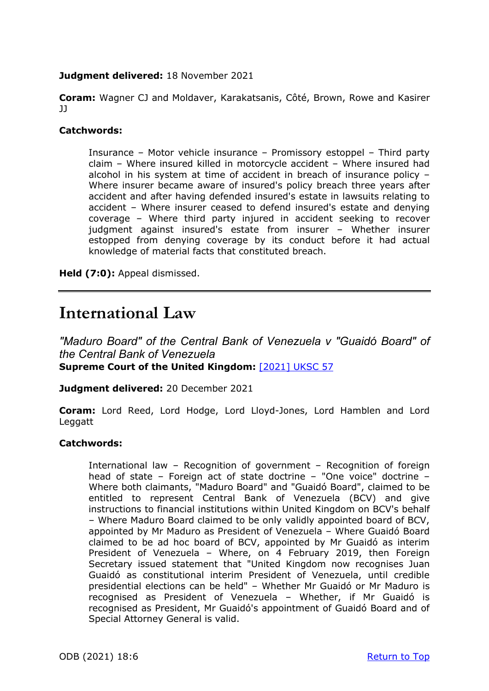### **Judgment delivered:** 18 November 2021

**Coram:** Wagner CJ and Moldaver, Karakatsanis, Côté, Brown, Rowe and Kasirer JJ

#### **Catchwords:**

Insurance – Motor vehicle insurance – Promissory estoppel – Third party claim – Where insured killed in motorcycle accident – Where insured had alcohol in his system at time of accident in breach of insurance policy – Where insurer became aware of insured's policy breach three years after accident and after having defended insured's estate in lawsuits relating to accident – Where insurer ceased to defend insured's estate and denying coverage – Where third party injured in accident seeking to recover judgment against insured's estate from insurer – Whether insurer estopped from denying coverage by its conduct before it had actual knowledge of material facts that constituted breach.

**Held (7:0):** Appeal dismissed.

## **International Law**

*"Maduro Board" of the Central Bank of Venezuela v "Guaidó Board" of the Central Bank of Venezuela* **Supreme Court of the United Kingdom:** [\[2021\] UKSC 57](https://www.supremecourt.uk/cases/docs/uksc-2020-0195-judgment.pdf)

**Judgment delivered:** 20 December 2021

**Coram:** Lord Reed, Lord Hodge, Lord Lloyd-Jones, Lord Hamblen and Lord **Leggatt** 

#### **Catchwords:**

International law – Recognition of government – Recognition of foreign head of state – Foreign act of state doctrine – "One voice" doctrine – Where both claimants, "Maduro Board" and "Guaidó Board", claimed to be entitled to represent Central Bank of Venezuela (BCV) and give instructions to financial institutions within United Kingdom on BCV's behalf – Where Maduro Board claimed to be only validly appointed board of BCV, appointed by Mr Maduro as President of Venezuela – Where Guaidó Board claimed to be ad hoc board of BCV, appointed by Mr Guaidó as interim President of Venezuela – Where, on 4 February 2019, then Foreign Secretary issued statement that "United Kingdom now recognises Juan Guaidó as constitutional interim President of Venezuela, until credible presidential elections can be held" – Whether Mr Guaidó or Mr Maduro is recognised as President of Venezuela – Whether, if Mr Guaidó is recognised as President, Mr Guaidó's appointment of Guaidó Board and of Special Attorney General is valid.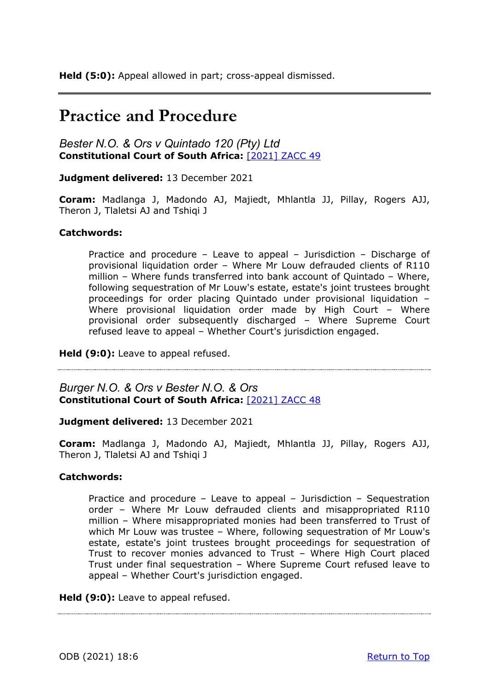## **Practice and Procedure**

*Bester N.O. & Ors v Quintado 120 (Pty) Ltd* **Constitutional Court of South Africa:** [\[2021\] ZACC 49](http://www.saflii.org/za/cases/ZACC/2021/49.html)

**Judgment delivered:** 13 December 2021

**Coram:** Madlanga J, Madondo AJ, Majiedt, Mhlantla JJ, Pillay, Rogers AJJ, Theron J, Tlaletsi AJ and Tshiqi J

#### **Catchwords:**

Practice and procedure – Leave to appeal – Jurisdiction – Discharge of provisional liquidation order – Where Mr Louw defrauded clients of R110 million – Where funds transferred into bank account of Quintado – Where, following sequestration of Mr Louw's estate, estate's joint trustees brought proceedings for order placing Quintado under provisional liquidation – Where provisional liquidation order made by High Court - Where provisional order subsequently discharged – Where Supreme Court refused leave to appeal – Whether Court's jurisdiction engaged.

**Held (9:0):** Leave to appeal refused.

*Burger N.O. & Ors v Bester N.O. & Ors* **Constitutional Court of South Africa:** [\[2021\] ZACC 48](http://www.saflii.org/za/cases/ZACC/2021/48.html)

**Judgment delivered:** 13 December 2021

**Coram:** Madlanga J, Madondo AJ, Majiedt, Mhlantla JJ, Pillay, Rogers AJJ, Theron J, Tlaletsi AJ and Tshiqi J

#### **Catchwords:**

Practice and procedure – Leave to appeal – Jurisdiction – Sequestration order – Where Mr Louw defrauded clients and misappropriated R110 million – Where misappropriated monies had been transferred to Trust of which Mr Louw was trustee – Where, following sequestration of Mr Louw's estate, estate's joint trustees brought proceedings for sequestration of Trust to recover monies advanced to Trust – Where High Court placed Trust under final sequestration – Where Supreme Court refused leave to appeal – Whether Court's jurisdiction engaged.

**Held (9:0):** Leave to appeal refused.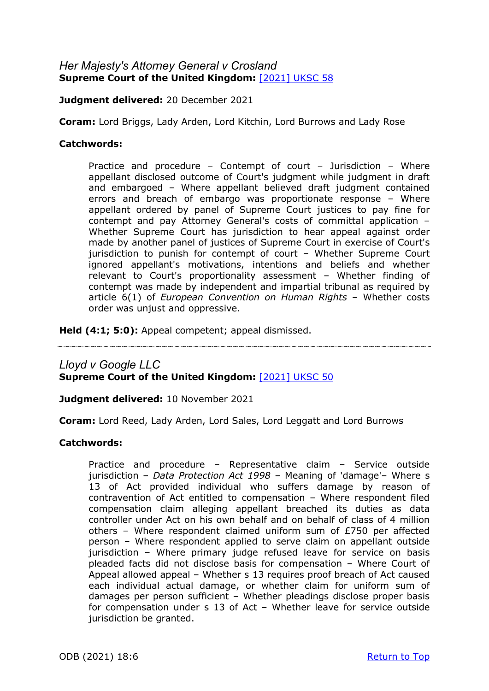### *Her Majesty's Attorney General v Crosland* **Supreme Court of the United Kingdom:** [\[2021\] UKSC 58](https://www.supremecourt.uk/cases/uksc-2021-0160.html)

**Judgment delivered:** 20 December 2021

**Coram:** Lord Briggs, Lady Arden, Lord Kitchin, Lord Burrows and Lady Rose

#### **Catchwords:**

Practice and procedure – Contempt of court – Jurisdiction – Where appellant disclosed outcome of Court's judgment while judgment in draft and embargoed – Where appellant believed draft judgment contained errors and breach of embargo was proportionate response – Where appellant ordered by panel of Supreme Court justices to pay fine for contempt and pay Attorney General's costs of committal application – Whether Supreme Court has jurisdiction to hear appeal against order made by another panel of justices of Supreme Court in exercise of Court's jurisdiction to punish for contempt of court – Whether Supreme Court ignored appellant's motivations, intentions and beliefs and whether relevant to Court's proportionality assessment – Whether finding of contempt was made by independent and impartial tribunal as required by article 6(1) of *European Convention on Human Rights* – Whether costs order was unjust and oppressive.

**Held (4:1; 5:0):** Appeal competent; appeal dismissed.

### *Lloyd v Google LLC*  **Supreme Court of the United Kingdom: [\[2021\] UKSC 50](https://www.supremecourt.uk/cases/docs/uksc-2019-0213-judgment.pdf)**

**Judgment delivered:** 10 November 2021

**Coram:** Lord Reed, Lady Arden, Lord Sales, Lord Leggatt and Lord Burrows

#### **Catchwords:**

Practice and procedure – Representative claim – Service outside jurisdiction – *Data Protection Act 1998* – Meaning of 'damage'– Where s 13 of Act provided individual who suffers damage by reason of contravention of Act entitled to compensation – Where respondent filed compensation claim alleging appellant breached its duties as data controller under Act on his own behalf and on behalf of class of 4 million others – Where respondent claimed uniform sum of £750 per affected person – Where respondent applied to serve claim on appellant outside jurisdiction – Where primary judge refused leave for service on basis pleaded facts did not disclose basis for compensation – Where Court of Appeal allowed appeal – Whether s 13 requires proof breach of Act caused each individual actual damage, or whether claim for uniform sum of damages per person sufficient – Whether pleadings disclose proper basis for compensation under s 13 of Act – Whether leave for service outside jurisdiction be granted.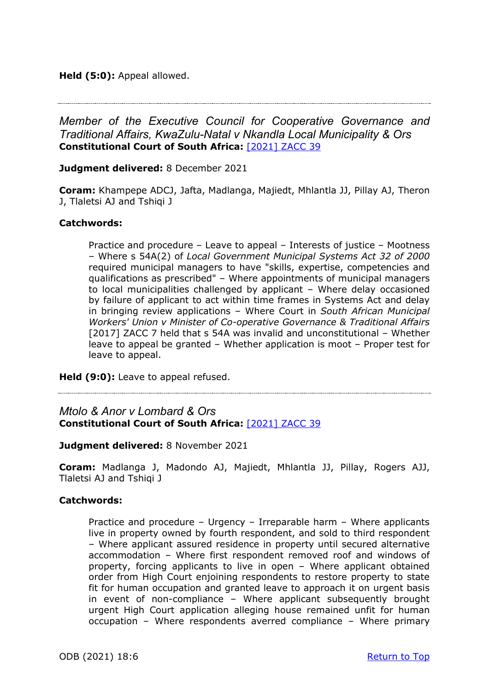#### **Held (5:0):** Appeal allowed.

*Member of the Executive Council for Cooperative Governance and Traditional Affairs, KwaZulu-Natal v Nkandla Local Municipality & Ors* **Constitutional Court of South Africa:** [\[2021\] ZACC 39](https://www.saflii.org/za/cases/ZACC/2021/46.html)

#### **Judgment delivered:** 8 December 2021

**Coram:** Khampepe ADCJ, Jafta, Madlanga, Majiedt, Mhlantla JJ, Pillay AJ, Theron J, Tlaletsi AJ and Tshiqi J

#### **Catchwords:**

Practice and procedure – Leave to appeal – Interests of justice – Mootness – Where s 54A(2) of *Local Government Municipal Systems Act 32 of 2000* required municipal managers to have "skills, expertise, competencies and qualifications as prescribed" – Where appointments of municipal managers to local municipalities challenged by applicant – Where delay occasioned by failure of applicant to act within time frames in Systems Act and delay in bringing review applications – Where Court in *South African Municipal Workers' Union v Minister of Co-operative Governance & Traditional Affairs* [2017] ZACC 7 held that s 54A was invalid and unconstitutional - Whether leave to appeal be granted – Whether application is moot – Proper test for leave to appeal.

**Held (9:0):** Leave to appeal refused.

*Mtolo & Anor v Lombard & Ors* **Constitutional Court of South Africa:** [\[2021\] ZACC 39](http://www.saflii.org/za/cases/ZACC/2021/39.html)

**Judgment delivered:** 8 November 2021

**Coram:** Madlanga J, Madondo AJ, Majiedt, Mhlantla JJ, Pillay, Rogers AJJ, Tlaletsi AJ and Tshiqi J

#### **Catchwords:**

Practice and procedure – Urgency – Irreparable harm – Where applicants live in property owned by fourth respondent, and sold to third respondent – Where applicant assured residence in property until secured alternative accommodation – Where first respondent removed roof and windows of property, forcing applicants to live in open – Where applicant obtained order from High Court enjoining respondents to restore property to state fit for human occupation and granted leave to approach it on urgent basis in event of non-compliance – Where applicant subsequently brought urgent High Court application alleging house remained unfit for human occupation – Where respondents averred compliance – Where primary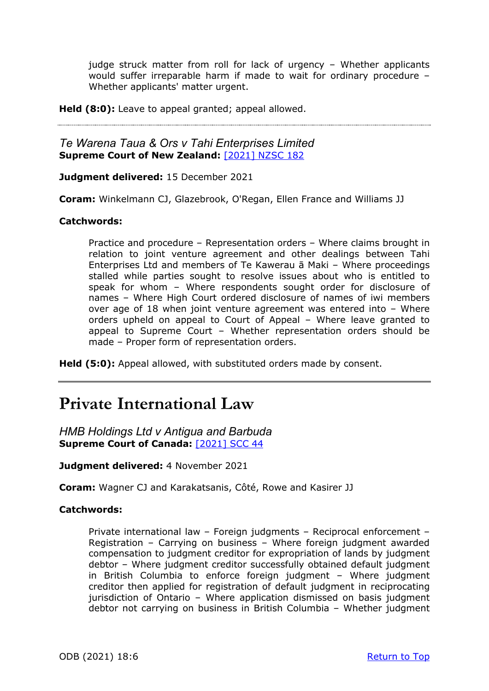judge struck matter from roll for lack of urgency – Whether applicants would suffer irreparable harm if made to wait for ordinary procedure – Whether applicants' matter urgent.

**Held (8:0):** Leave to appeal granted; appeal allowed.

### *Te Warena Taua & Ors v Tahi Enterprises Limited* **Supreme Court of New Zealand:**[\[2021\] NZSC 182](https://www.courtsofnz.govt.nz/assets/cases/2021/2021-NZSC-182.pdf)

#### **Judgment delivered:** 15 December 2021

**Coram:** Winkelmann CJ, Glazebrook, O'Regan, Ellen France and Williams JJ

#### **Catchwords:**

Practice and procedure – Representation orders – Where claims brought in relation to joint venture agreement and other dealings between Tahi Enterprises Ltd and members of Te Kawerau ā Maki – Where proceedings stalled while parties sought to resolve issues about who is entitled to speak for whom – Where respondents sought order for disclosure of names – Where High Court ordered disclosure of names of iwi members over age of 18 when joint venture agreement was entered into – Where orders upheld on appeal to Court of Appeal – Where leave granted to appeal to Supreme Court – Whether representation orders should be made – Proper form of representation orders.

**Held (5:0):** Appeal allowed, with substituted orders made by consent.

## **Private International Law**

*HMB Holdings Ltd v Antigua and Barbuda*  **Supreme Court of Canada:**[\[2021\] SCC 44](https://scc-csc.lexum.com/scc-csc/scc-csc/en/item/19047/index.do)

**Judgment delivered:** 4 November 2021

**Coram:** Wagner CJ and Karakatsanis, Côté, Rowe and Kasirer JJ

### **Catchwords:**

Private international law – Foreign judgments – Reciprocal enforcement – Registration – Carrying on business – Where foreign judgment awarded compensation to judgment creditor for expropriation of lands by judgment debtor – Where judgment creditor successfully obtained default judgment in British Columbia to enforce foreign judgment – Where judgment creditor then applied for registration of default judgment in reciprocating jurisdiction of Ontario – Where application dismissed on basis judgment debtor not carrying on business in British Columbia – Whether judgment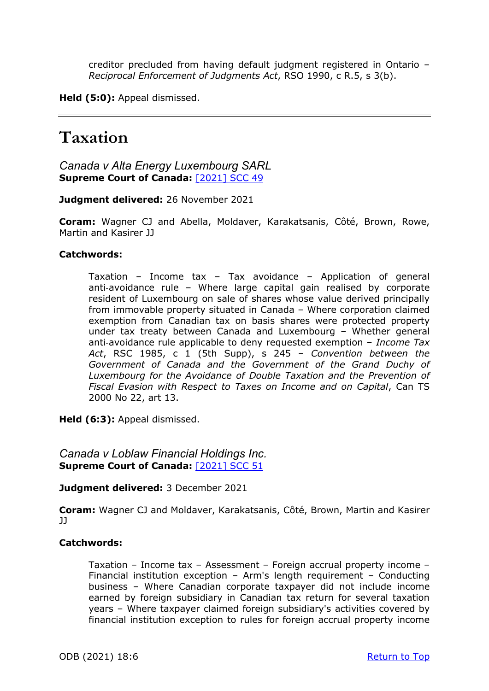creditor precluded from having default judgment registered in Ontario – *Reciprocal Enforcement of Judgments Act*, RSO 1990, c R.5, s 3(b).

**Held (5:0):** Appeal dismissed.

## **Taxation**

*Canada v Alta Energy Luxembourg SARL* **Supreme Court of Canada:**[\[2021\] SCC 49](https://scc-csc.lexum.com/scc-csc/scc-csc/en/item/19089/index.do)

**Judgment delivered:** 26 November 2021

**Coram:** Wagner CJ and Abella, Moldaver, Karakatsanis, Côté, Brown, Rowe, Martin and Kasirer JJ

#### **Catchwords:**

Taxation – Income tax – Tax avoidance – Application of general anti-avoidance rule – Where large capital gain realised by corporate resident of Luxembourg on sale of shares whose value derived principally from immovable property situated in Canada – Where corporation claimed exemption from Canadian tax on basis shares were protected property under tax treaty between Canada and Luxembourg – Whether general anti‑avoidance rule applicable to deny requested exemption – *Income Tax Act*, RSC 1985, c 1 (5th Supp), s 245 – *Convention between the Government of Canada and the Government of the Grand Duchy of Luxembourg for the Avoidance of Double Taxation and the Prevention of Fiscal Evasion with Respect to Taxes on Income and on Capital*, Can TS 2000 No 22, art 13.

**Held (6:3):** Appeal dismissed.

*Canada v Loblaw Financial Holdings Inc.* **Supreme Court of Canada:**[\[2021\] SCC 51](https://decisions.scc-csc.ca/scc-csc/scc-csc/en/item/19096/index.do)

**Judgment delivered:** 3 December 2021

**Coram:** Wagner CJ and Moldaver, Karakatsanis, Côté, Brown, Martin and Kasirer  $J<sub>J</sub>$ 

#### **Catchwords:**

Taxation – Income tax – Assessment – Foreign accrual property income – Financial institution exception – Arm's length requirement – Conducting business – Where Canadian corporate taxpayer did not include income earned by foreign subsidiary in Canadian tax return for several taxation years – Where taxpayer claimed foreign subsidiary's activities covered by financial institution exception to rules for foreign accrual property income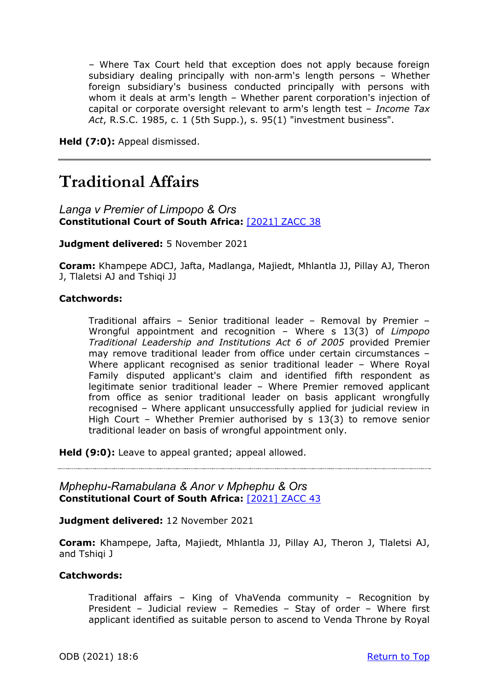– Where Tax Court held that exception does not apply because foreign subsidiary dealing principally with non-arm's length persons - Whether foreign subsidiary's business conducted principally with persons with whom it deals at arm's length – Whether parent corporation's injection of capital or corporate oversight relevant to arm's length test – *Income Tax Act*, R.S.C. 1985, c. 1 (5th Supp.), s. 95(1) "investment business".

**Held (7:0):** Appeal dismissed.

## **Traditional Affairs**

*Langa v Premier of Limpopo & Ors* **Constitutional Court of South Africa:** [\[2021\] ZACC 38](http://www.saflii.org/za/cases/ZACC/2021/38.html)

**Judgment delivered:** 5 November 2021

**Coram:** Khampepe ADCJ, Jafta, Madlanga, Majiedt, Mhlantla JJ, Pillay AJ, Theron J, Tlaletsi AJ and Tshiqi JJ

#### **Catchwords:**

Traditional affairs – Senior traditional leader – Removal by Premier – Wrongful appointment and recognition – Where s 13(3) of *Limpopo Traditional Leadership and Institutions Act 6 of 2005* provided Premier may remove traditional leader from office under certain circumstances – Where applicant recognised as senior traditional leader – Where Royal Family disputed applicant's claim and identified fifth respondent as legitimate senior traditional leader – Where Premier removed applicant from office as senior traditional leader on basis applicant wrongfully recognised – Where applicant unsuccessfully applied for judicial review in High Court – Whether Premier authorised by s 13(3) to remove senior traditional leader on basis of wrongful appointment only.

**Held (9:0):** Leave to appeal granted; appeal allowed.

*Mphephu-Ramabulana & Anor v Mphephu & Ors* **Constitutional Court of South Africa:** [\[2021\] ZACC 43](http://www.saflii.org/za/cases/ZACC/2021/43.html)

**Judgment delivered:** 12 November 2021

**Coram:** Khampepe, Jafta, Majiedt, Mhlantla JJ, Pillay AJ, Theron J, Tlaletsi AJ, and Tshiqi J

#### **Catchwords:**

Traditional affairs – King of VhaVenda community – Recognition by President – Judicial review – Remedies – Stay of order – Where first applicant identified as suitable person to ascend to Venda Throne by Royal